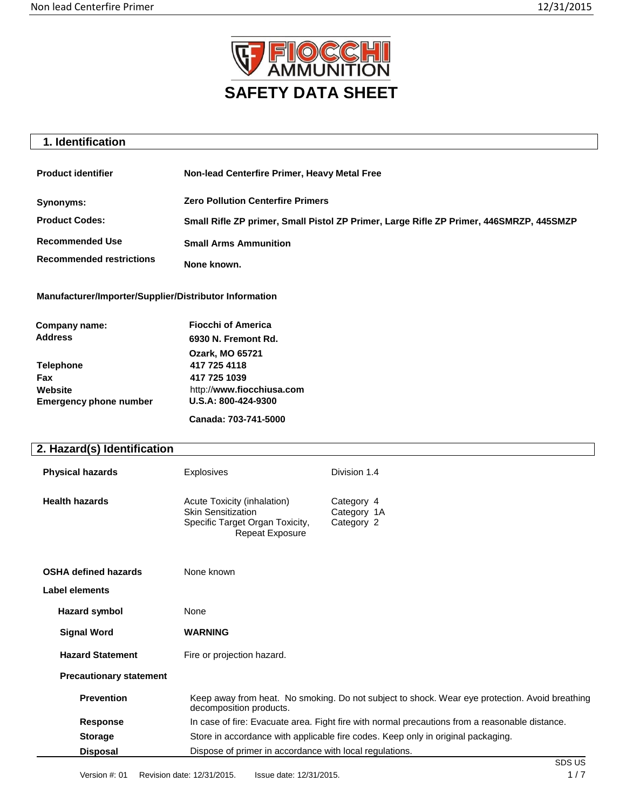

# **1. Identification**

| <b>Product identifier</b>       | Non-lead Centerfire Primer, Heavy Metal Free                                            |  |  |
|---------------------------------|-----------------------------------------------------------------------------------------|--|--|
| Synonyms:                       | <b>Zero Pollution Centerfire Primers</b>                                                |  |  |
| <b>Product Codes:</b>           | Small Rifle ZP primer, Small Pistol ZP Primer, Large Rifle ZP Primer, 446SMRZP, 445SMZP |  |  |
| <b>Recommended Use</b>          | <b>Small Arms Ammunition</b>                                                            |  |  |
| <b>Recommended restrictions</b> | None known.                                                                             |  |  |

**Manufacturer/Importer/Supplier/Distributor Information**

| Company name:                            | <b>Fiocchi of America</b>                        |
|------------------------------------------|--------------------------------------------------|
| <b>Address</b>                           | 6930 N. Fremont Rd.                              |
|                                          | <b>Ozark, MO 65721</b>                           |
| <b>Telephone</b>                         | 417 725 4118                                     |
| Fax                                      | 417 725 1039                                     |
| Website<br><b>Emergency phone number</b> | http://www.fiocchiusa.com<br>U.S.A: 800-424-9300 |
|                                          | Canada: 703-741-5000                             |

# **2. Hazard(s) Identification**

| <b>Physical hazards</b>        | <b>Explosives</b>                                                                                              | Division 1.4                                                                                   |  |
|--------------------------------|----------------------------------------------------------------------------------------------------------------|------------------------------------------------------------------------------------------------|--|
| <b>Health hazards</b>          | Acute Toxicity (inhalation)<br><b>Skin Sensitization</b><br>Specific Target Organ Toxicity,<br>Repeat Exposure | Category 4<br>Category 1A<br>Category 2                                                        |  |
| <b>OSHA defined hazards</b>    | None known                                                                                                     |                                                                                                |  |
| Label elements                 |                                                                                                                |                                                                                                |  |
| <b>Hazard symbol</b>           | None                                                                                                           |                                                                                                |  |
| <b>Signal Word</b>             | <b>WARNING</b>                                                                                                 |                                                                                                |  |
| <b>Hazard Statement</b>        | Fire or projection hazard.                                                                                     |                                                                                                |  |
| <b>Precautionary statement</b> |                                                                                                                |                                                                                                |  |
| <b>Prevention</b>              | decomposition products.                                                                                        | Keep away from heat. No smoking. Do not subject to shock. Wear eye protection. Avoid breathing |  |
| Response                       | In case of fire: Evacuate area. Fight fire with normal precautions from a reasonable distance.                 |                                                                                                |  |
| <b>Storage</b>                 | Store in accordance with applicable fire codes. Keep only in original packaging.                               |                                                                                                |  |
| <b>Disposal</b>                | Dispose of primer in accordance with local regulations.                                                        |                                                                                                |  |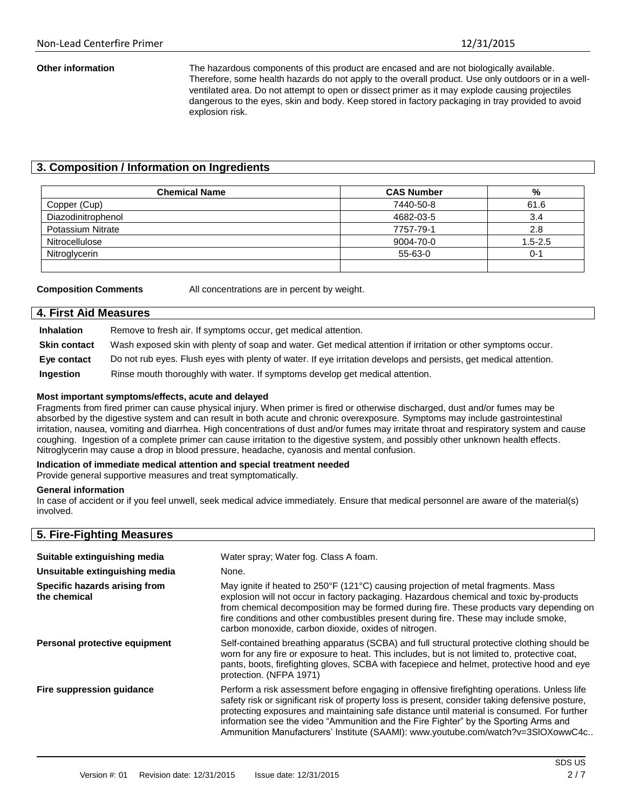**Other information** The hazardous components of this product are encased and are not biologically available. Therefore, some health hazards do not apply to the overall product. Use only outdoors or in a wellventilated area. Do not attempt to open or dissect primer as it may explode causing projectiles dangerous to the eyes, skin and body. Keep stored in factory packaging in tray provided to avoid explosion risk.

# **3. Composition / Information on Ingredients**

| <b>Chemical Name</b> | <b>CAS Number</b> | %           |
|----------------------|-------------------|-------------|
| Copper (Cup)         | 7440-50-8         | 61.6        |
| Diazodinitrophenol   | 4682-03-5         | 3.4         |
| Potassium Nitrate    | 7757-79-1         | 2.8         |
| Nitrocellulose       | 9004-70-0         | $1.5 - 2.5$ |
| Nitroglycerin        | $55 - 63 - 0$     | $0 - 1$     |
|                      |                   |             |

**Composition Comments** All concentrations are in percent by weight.

# **4. First Aid Measures**

**Inhalation** Remove to fresh air. If symptoms occur, get medical attention.

**Skin contact** Wash exposed skin with plenty of soap and water. Get medical attention if irritation or other symptoms occur.

**Eye contact** Do not rub eyes. Flush eyes with plenty of water. If eye irritation develops and persists, get medical attention.

**Ingestion** Rinse mouth thoroughly with water. If symptoms develop get medical attention.

# **Most important symptoms/effects, acute and delayed**

Fragments from fired primer can cause physical injury. When primer is fired or otherwise discharged, dust and/or fumes may be absorbed by the digestive system and can result in both acute and chronic overexposure. Symptoms may include gastrointestinal irritation, nausea, vomiting and diarrhea. High concentrations of dust and/or fumes may irritate throat and respiratory system and cause coughing. Ingestion of a complete primer can cause irritation to the digestive system, and possibly other unknown health effects. Nitroglycerin may cause a drop in blood pressure, headache, cyanosis and mental confusion.

# **Indication of immediate medical attention and special treatment needed**

Provide general supportive measures and treat symptomatically.

### **General information**

In case of accident or if you feel unwell, seek medical advice immediately. Ensure that medical personnel are aware of the material(s) involved.

| 5. Fire-Fighting Measures                     |                                                                                                                                                                                                                                                                                                                                                                                                                                                                          |
|-----------------------------------------------|--------------------------------------------------------------------------------------------------------------------------------------------------------------------------------------------------------------------------------------------------------------------------------------------------------------------------------------------------------------------------------------------------------------------------------------------------------------------------|
| Suitable extinguishing media                  | Water spray; Water fog. Class A foam.                                                                                                                                                                                                                                                                                                                                                                                                                                    |
| Unsuitable extinguishing media                | None.                                                                                                                                                                                                                                                                                                                                                                                                                                                                    |
| Specific hazards arising from<br>the chemical | May ignite if heated to 250°F (121°C) causing projection of metal fragments. Mass<br>explosion will not occur in factory packaging. Hazardous chemical and toxic by-products<br>from chemical decomposition may be formed during fire. These products vary depending on<br>fire conditions and other combustibles present during fire. These may include smoke,<br>carbon monoxide, carbon dioxide, oxides of nitrogen.                                                  |
| Personal protective equipment                 | Self-contained breathing apparatus (SCBA) and full structural protective clothing should be<br>worn for any fire or exposure to heat. This includes, but is not limited to, protective coat,<br>pants, boots, firefighting gloves, SCBA with facepiece and helmet, protective hood and eye<br>protection. (NFPA 1971)                                                                                                                                                    |
| Fire suppression guidance                     | Perform a risk assessment before engaging in offensive firefighting operations. Unless life<br>safety risk or significant risk of property loss is present, consider taking defensive posture,<br>protecting exposures and maintaining safe distance until material is consumed. For further<br>information see the video "Ammunition and the Fire Fighter" by the Sporting Arms and<br>Ammunition Manufacturers' Institute (SAAMI): www.youtube.com/watch?v=3SIOXowwC4c |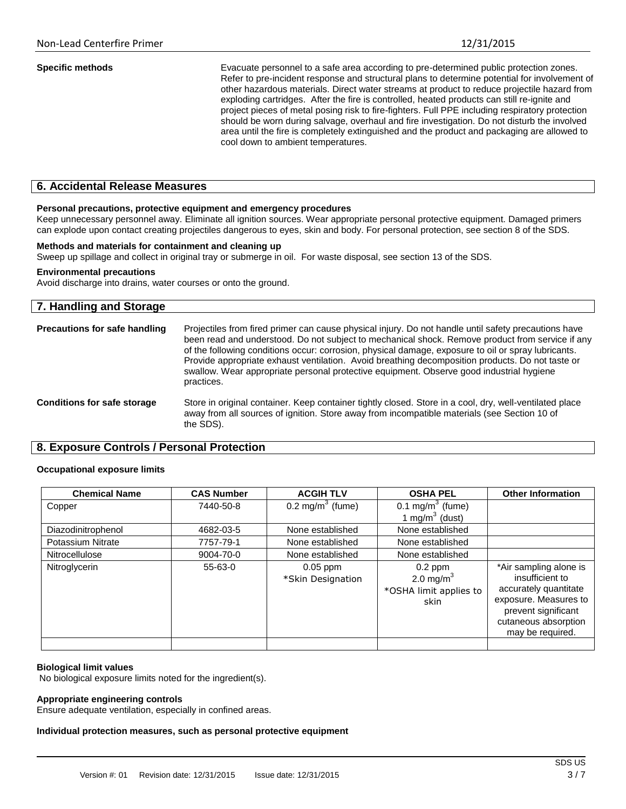# **Specific methods** Evacuate personnel to a safe area according to pre-determined public protection zones. Refer to pre-incident response and structural plans to determine potential for involvement of other hazardous materials. Direct water streams at product to reduce projectile hazard from exploding cartridges. After the fire is controlled, heated products can still re-ignite and project pieces of metal posing risk to fire-fighters. Full PPE including respiratory protection should be worn during salvage, overhaul and fire investigation. Do not disturb the involved area until the fire is completely extinguished and the product and packaging are allowed to cool down to ambient temperatures.

# **6. Accidental Release Measures**

# **Personal precautions, protective equipment and emergency procedures**

Keep unnecessary personnel away. Eliminate all ignition sources. Wear appropriate personal protective equipment. Damaged primers can explode upon contact creating projectiles dangerous to eyes, skin and body. For personal protection, see section 8 of the SDS.

### **Methods and materials for containment and cleaning up**

Sweep up spillage and collect in original tray or submerge in oil. For waste disposal, see section 13 of the SDS.

### **Environmental precautions**

Avoid discharge into drains, water courses or onto the ground.

# **7. Handling and Storage Precautions for safe handling** Projectiles from fired primer can cause physical injury. Do not handle until safety precautions have been read and understood. Do not subject to mechanical shock. Remove product from service if any of the following conditions occur: corrosion, physical damage, exposure to oil or spray lubricants. Provide appropriate exhaust ventilation. Avoid breathing decomposition products. Do not taste or swallow. Wear appropriate personal protective equipment. Observe good industrial hygiene practices. **Conditions for safe storage** Store in original container. Keep container tightly closed. Store in a cool, dry, well-ventilated place away from all sources of ignition. Store away from incompatible materials (see Section 10 of the SDS).

# **8. Exposure Controls / Personal Protection**

# **Occupational exposure limits**

| <b>Chemical Name</b> | <b>CAS Number</b> | <b>ACGIH TLV</b>            | <b>OSHA PEL</b>              | <b>Other Information</b>                 |
|----------------------|-------------------|-----------------------------|------------------------------|------------------------------------------|
| Copper               | 7440-50-8         | $0.2 \text{ mg/m}^3$ (fume) | 0.1 mg/m <sup>3</sup> (fume) |                                          |
|                      |                   |                             | 1 mg/m $3$ (dust)            |                                          |
| Diazodinitrophenol   | 4682-03-5         | None established            | None established             |                                          |
| Potassium Nitrate    | 7757-79-1         | None established            | None established             |                                          |
| Nitrocellulose       | 9004-70-0         | None established            | None established             |                                          |
| Nitroglycerin        | 55-63-0           | $0.05$ ppm                  | $0.2$ ppm                    | *Air sampling alone is                   |
|                      |                   | *Skin Designation           | 2.0 mg/m <sup>3</sup>        | insufficient to                          |
|                      |                   |                             | *OSHA limit applies to       | accurately quantitate                    |
|                      |                   |                             | skin                         | exposure. Measures to                    |
|                      |                   |                             |                              | prevent significant                      |
|                      |                   |                             |                              | cutaneous absorption<br>may be required. |
|                      |                   |                             |                              |                                          |

### **Biological limit values**

No biological exposure limits noted for the ingredient(s).

### **Appropriate engineering controls**

Ensure adequate ventilation, especially in confined areas.

### **Individual protection measures, such as personal protective equipment**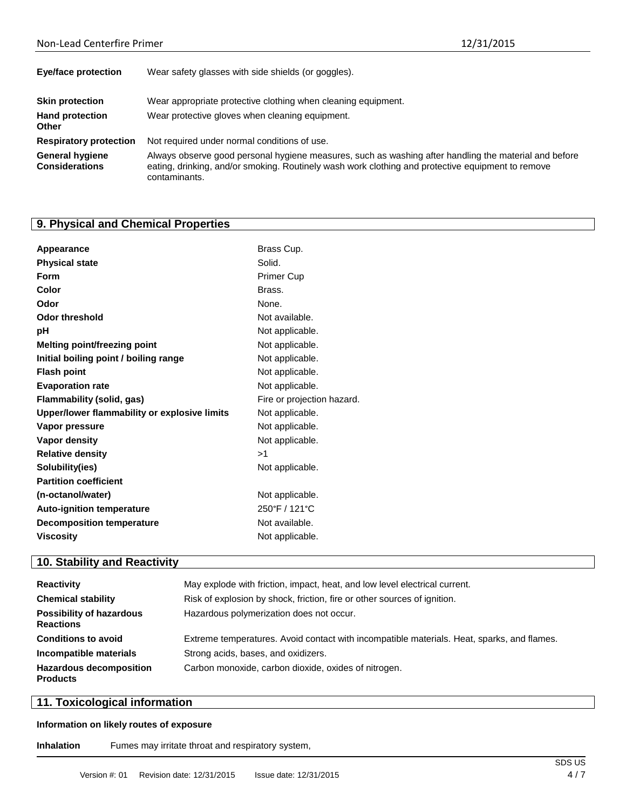| <b>Eye/face protection</b>                      | Wear safety glasses with side shields (or goggles).                                                                                                                                                                         |
|-------------------------------------------------|-----------------------------------------------------------------------------------------------------------------------------------------------------------------------------------------------------------------------------|
| <b>Skin protection</b>                          | Wear appropriate protective clothing when cleaning equipment.                                                                                                                                                               |
| <b>Hand protection</b><br><b>Other</b>          | Wear protective gloves when cleaning equipment.                                                                                                                                                                             |
| <b>Respiratory protection</b>                   | Not required under normal conditions of use.                                                                                                                                                                                |
| <b>General hygiene</b><br><b>Considerations</b> | Always observe good personal hygiene measures, such as washing after handling the material and before<br>eating, drinking, and/or smoking. Routinely wash work clothing and protective equipment to remove<br>contaminants. |

# **9. Physical and Chemical Properties**

| Appearance                                   | Brass Cup.                 |
|----------------------------------------------|----------------------------|
| <b>Physical state</b>                        | Solid.                     |
| <b>Form</b>                                  | Primer Cup                 |
| Color                                        | Brass.                     |
| Odor                                         | None.                      |
| <b>Odor threshold</b>                        | Not available.             |
| рH                                           | Not applicable.            |
| <b>Melting point/freezing point</b>          | Not applicable.            |
| Initial boiling point / boiling range        | Not applicable.            |
| <b>Flash point</b>                           | Not applicable.            |
| <b>Evaporation rate</b>                      | Not applicable.            |
| <b>Flammability (solid, gas)</b>             | Fire or projection hazard. |
| Upper/lower flammability or explosive limits | Not applicable.            |
| Vapor pressure                               | Not applicable.            |
| Vapor density                                | Not applicable.            |
| <b>Relative density</b>                      | >1                         |
| Solubility(ies)                              | Not applicable.            |
| <b>Partition coefficient</b>                 |                            |
| (n-octanol/water)                            | Not applicable.            |
| <b>Auto-ignition temperature</b>             | 250°F / 121°C              |
| <b>Decomposition temperature</b>             | Not available.             |
| <b>Viscosity</b>                             | Not applicable.            |

# **10. Stability and Reactivity**

| <b>Reactivity</b>                                   | May explode with friction, impact, heat, and low level electrical current.                 |
|-----------------------------------------------------|--------------------------------------------------------------------------------------------|
| <b>Chemical stability</b>                           | Risk of explosion by shock, friction, fire or other sources of ignition.                   |
| <b>Possibility of hazardous</b><br><b>Reactions</b> | Hazardous polymerization does not occur.                                                   |
| <b>Conditions to avoid</b>                          | Extreme temperatures. Avoid contact with incompatible materials. Heat, sparks, and flames. |
| Incompatible materials                              | Strong acids, bases, and oxidizers.                                                        |
| <b>Hazardous decomposition</b><br><b>Products</b>   | Carbon monoxide, carbon dioxide, oxides of nitrogen.                                       |

# **11. Toxicological information**

# **Information on likely routes of exposure**

**Inhalation** Fumes may irritate throat and respiratory system,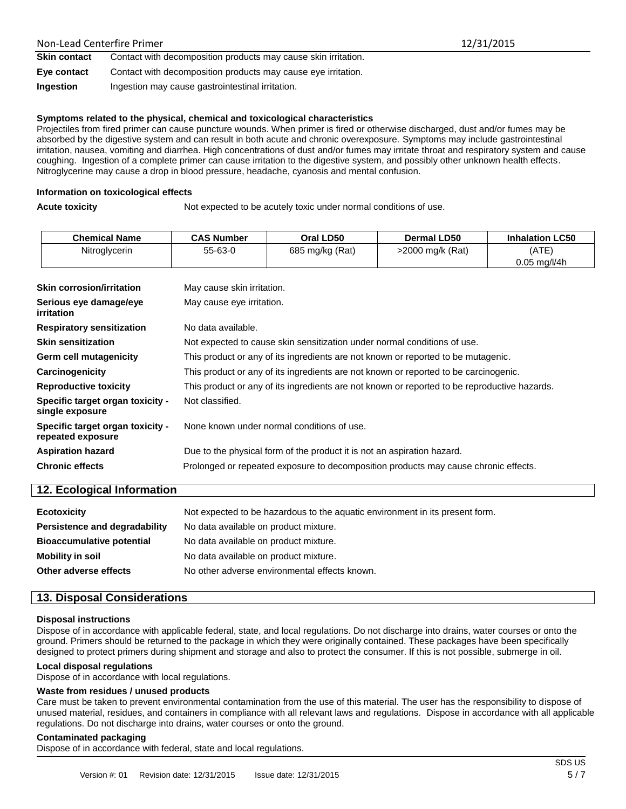# Non-Lead Centerfire Primer 12/31/2015

| <b>Skin contact</b> | Contact with decomposition products may cause skin irritation. |
|---------------------|----------------------------------------------------------------|
| Eve contact         | Contact with decomposition products may cause eye irritation.  |
| Ingestion           | Ingestion may cause gastrointestinal irritation.               |

# **Symptoms related to the physical, chemical and toxicological characteristics**

Projectiles from fired primer can cause puncture wounds. When primer is fired or otherwise discharged, dust and/or fumes may be absorbed by the digestive system and can result in both acute and chronic overexposure. Symptoms may include gastrointestinal irritation, nausea, vomiting and diarrhea. High concentrations of dust and/or fumes may irritate throat and respiratory system and cause coughing. Ingestion of a complete primer can cause irritation to the digestive system, and possibly other unknown health effects. Nitroglycerine may cause a drop in blood pressure, headache, cyanosis and mental confusion.

# **Information on toxicological effects**

Acute toxicity **Note Expected to be acutely toxic under normal conditions of use.** 

| <b>Chemical Name</b> | <b>CAS Number</b> | Oral LD50       | <b>Dermal LD50</b> | <b>Inhalation LC50</b> |
|----------------------|-------------------|-----------------|--------------------|------------------------|
| Nitroglycerin        | 55-63-0           | 685 mg/kg (Rat) | >2000 mg/k (Rat)   | (ATE)                  |
|                      |                   |                 |                    | $0.05$ mg/l/4h         |

| <b>Skin corrosion/irritation</b>                      | May cause skin irritation.                                                                   |  |  |
|-------------------------------------------------------|----------------------------------------------------------------------------------------------|--|--|
| Serious eye damage/eye<br><i>irritation</i>           | May cause eye irritation.                                                                    |  |  |
| <b>Respiratory sensitization</b>                      | No data available.                                                                           |  |  |
| <b>Skin sensitization</b>                             | Not expected to cause skin sensitization under normal conditions of use.                     |  |  |
| Germ cell mutagenicity                                | This product or any of its ingredients are not known or reported to be mutagenic.            |  |  |
| Carcinogenicity                                       | This product or any of its ingredients are not known or reported to be carcinogenic.         |  |  |
| <b>Reproductive toxicity</b>                          | This product or any of its ingredients are not known or reported to be reproductive hazards. |  |  |
| Specific target organ toxicity -<br>single exposure   | Not classified.                                                                              |  |  |
| Specific target organ toxicity -<br>repeated exposure | None known under normal conditions of use.                                                   |  |  |
| <b>Aspiration hazard</b>                              | Due to the physical form of the product it is not an aspiration hazard.                      |  |  |
| <b>Chronic effects</b>                                | Prolonged or repeated exposure to decomposition products may cause chronic effects.          |  |  |
| 12. Ecological Information                            |                                                                                              |  |  |

| <b>Ecotoxicity</b>               | Not expected to be hazardous to the aquatic environment in its present form. |
|----------------------------------|------------------------------------------------------------------------------|
| Persistence and degradability    | No data available on product mixture.                                        |
| <b>Bioaccumulative potential</b> | No data available on product mixture.                                        |
| Mobility in soil                 | No data available on product mixture.                                        |
| Other adverse effects            | No other adverse environmental effects known.                                |
|                                  |                                                                              |

# **13. Disposal Considerations**

# **Disposal instructions**

Dispose of in accordance with applicable federal, state, and local regulations. Do not discharge into drains, water courses or onto the ground. Primers should be returned to the package in which they were originally contained. These packages have been specifically designed to protect primers during shipment and storage and also to protect the consumer. If this is not possible, submerge in oil.

# **Local disposal regulations**

Dispose of in accordance with local regulations.

# **Waste from residues / unused products**

Care must be taken to prevent environmental contamination from the use of this material. The user has the responsibility to dispose of unused material, residues, and containers in compliance with all relevant laws and regulations. Dispose in accordance with all applicable regulations. Do not discharge into drains, water courses or onto the ground.

### **Contaminated packaging**

Dispose of in accordance with federal, state and local regulations.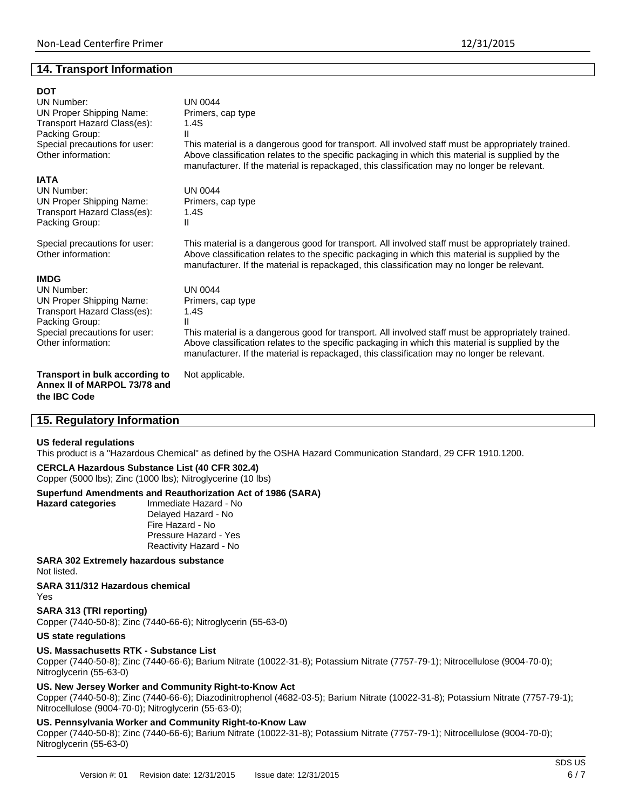# **14. Transport Information**

### **DOT**

UN Number: UN 0044 UN Proper Shipping Name: Primers, cap type Transport Hazard Class(es): 1.4S Packing Group: II Special precautions for user: This material is a dangerous good for transport. All involved staff must be appropriately trained. Other information: Above classification relates to the specific packaging in which this material is supplied by the

# **IATA**

UN Number: UN 0044 UN Proper Shipping Name: Primers, cap type Transport Hazard Class(es): 1.4S Packing Group: II

Special precautions for user: This material is a dangerous good for transport. All involved staff must be appropriately trained.<br>Other information: Above classification relates to the specific packaging in which this mater

### **IMDG**

UN Number: UN 0044 UN Proper Shipping Name: Primers, cap type Transport Hazard Class(es): 1.4S Packing Group: II Special precautions for user: This material is a dangerous good for transport. All involved staff must be appropriately trained.<br>Other information: Above classification relates to the specific packaging in which this mater

**Transport in bulk according to** Not applicable. **Annex II of MARPOL 73/78 and the IBC Code**

# **15. Regulatory Information**

# **US federal regulations**

This product is a "Hazardous Chemical" as defined by the OSHA Hazard Communication Standard, 29 CFR 1910.1200.

manufacturer. If the material is repackaged, this classification may no longer be relevant.

Above classification relates to the specific packaging in which this material is supplied by the manufacturer. If the material is repackaged, this classification may no longer be relevant.

Above classification relates to the specific packaging in which this material is supplied by the manufacturer. If the material is repackaged, this classification may no longer be relevant.

### **CERCLA Hazardous Substance List (40 CFR 302.4)** Copper (5000 lbs); Zinc (1000 lbs); Nitroglycerine (10 lbs)

**Superfund Amendments and Reauthorization Act of 1986 (SARA)**

**Hazard categories** Immediate Hazard - No Delayed Hazard - No Fire Hazard - No Pressure Hazard - Yes Reactivity Hazard - No

**SARA 302 Extremely hazardous substance** Not listed.

# **SARA 311/312 Hazardous chemical**

Yes

# **SARA 313 (TRI reporting)**

Copper (7440-50-8); Zinc (7440-66-6); Nitroglycerin (55-63-0)

# **US state regulations**

# **US. Massachusetts RTK - Substance List**

Copper (7440-50-8); Zinc (7440-66-6); Barium Nitrate (10022-31-8); Potassium Nitrate (7757-79-1); Nitrocellulose (9004-70-0); Nitroglycerin (55-63-0)

# **US. New Jersey Worker and Community Right-to-Know Act**

Copper (7440-50-8); Zinc (7440-66-6); Diazodinitrophenol (4682-03-5); Barium Nitrate (10022-31-8); Potassium Nitrate (7757-79-1); Nitrocellulose (9004-70-0); Nitroglycerin (55-63-0);

# **US. Pennsylvania Worker and Community Right-to-Know Law**

Copper (7440-50-8); Zinc (7440-66-6); Barium Nitrate (10022-31-8); Potassium Nitrate (7757-79-1); Nitrocellulose (9004-70-0); Nitroglycerin (55-63-0)